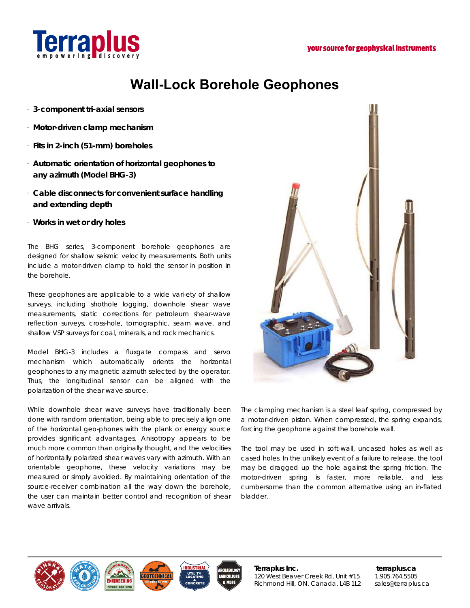

# **Wall-Lock Borehole Geophones**

- **3-component tri-axial sensors**
- **Motor-driven clamp mechanism**
- **Fits in 2-inch (51-mm) boreholes**
- **Automatic orientation of horizontal geophones to any azimuth (Model BHG-3)**
- **Cable disconnects for convenient surface handling and extending depth**
- **Works in wet or dry holes**

The BHG series, 3-component borehole geophones are designed for shallow seismic velocity measurements. Both units include a motor-driven clamp to hold the sensor in position in the borehole.

These geophones are applicable to a wide vari-ety of shallow surveys, including shothole logging, downhole shear wave measurements, static corrections for petroleum shear-wave reflection surveys, cross-hole, tomographic, seam wave, and shallow VSP surveys for coal, minerals, and rock mechanics.

Model BHG-3 includes a fluxgate compass and servo mechanism which automatically orients the horizontal geophones to any magnetic azimuth selected by the operator. Thus, the longitudinal sensor can be aligned with the polarization of the shear wave source.

While downhole shear wave surveys have traditionally been done with random orientation, being able to precisely align one of the horizontal geo-phones with the plank or energy source provides significant advantages. Anisotropy appears to be much more common than originally thought, and the velocities of horizontally polarized shear waves vary with azimuth. With an orientable geophone, these velocity variations may be measured or simply avoided. By maintaining orientation of the source-receiver combination all the way down the borehole, the user can maintain better control and recognition of shear wave arrivals.



The clamping mechanism is a steel leaf spring, compressed by a motor-driven piston. When compressed, the spring expands, forcing the geophone against the borehole wall.

The tool may be used in soft-wall, uncased holes as well as cased holes. In the unlikely event of a failure to release, the tool may be dragged up the hole against the spring friction. The motor-driven spring is faster, more reliable, and less cumbersome than the common alternative using an in-flated bladder.



**Terraplus Inc. terraplus.ca**  120 West Beaver Creek Rd, Unit #15 1.905.764.5505 Richmond Hill, ON, Canada, L4B 1L2 sales@terraplus.ca